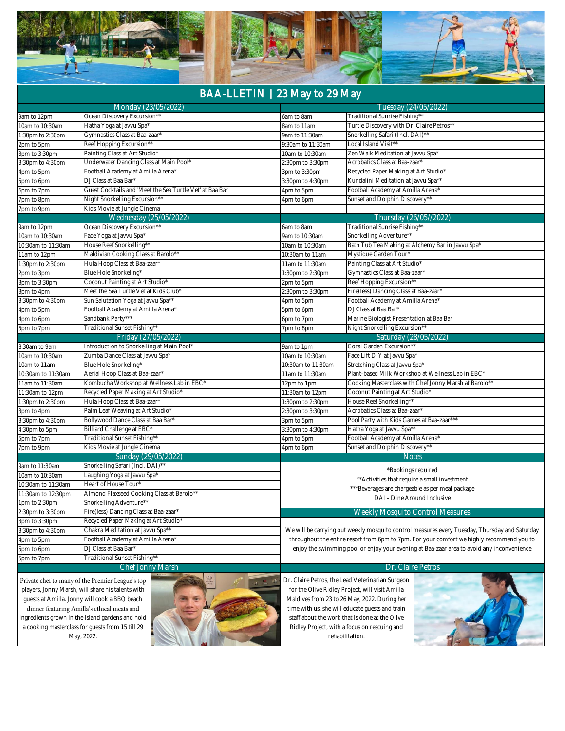|--|--|--|--|

## BAA-LLETIN **|** 23 May to 29 May

|                    | Monday (23/05/2022)                                                                                                                                                                    |                       | Tuesday (24/05/2022)                                                                                                                                                                            |  |  |  |
|--------------------|----------------------------------------------------------------------------------------------------------------------------------------------------------------------------------------|-----------------------|-------------------------------------------------------------------------------------------------------------------------------------------------------------------------------------------------|--|--|--|
| 9am to 12pm        | Ocean Discovery Excursion*                                                                                                                                                             |                       | "Traditional Sunrise Fishing"<br>6am to 8am                                                                                                                                                     |  |  |  |
| 10am to 10:30am    | Hatha Yoga at Javvu Spa*                                                                                                                                                               | 8am to 11am           | Turtle Discovery with Dr. Claire Petros*                                                                                                                                                        |  |  |  |
| 1:30pm to 2:30pm   | Gymnastics Class at Baa-zaar*                                                                                                                                                          |                       | Snorkelling Safari (Incl. DAI)**<br>9am to 11:30am                                                                                                                                              |  |  |  |
| 2pm to 5pm         | Reef Hopping Excursion**                                                                                                                                                               | 9:30am to 11:30am     | Local Island Visit**                                                                                                                                                                            |  |  |  |
| 3pm to 3:30pm      | Painting Class at Art Studio'                                                                                                                                                          | 10am to 10:30am       | Zen Walk Meditation at Javvu Spa*                                                                                                                                                               |  |  |  |
| 3:30pm to 4:30pm   | Underwater Dancing Class at Main Pool*                                                                                                                                                 | 2:30pm to 3:30pm      | Acrobatics Class at Baa-zaar*                                                                                                                                                                   |  |  |  |
| 4pm to 5pm         | Football Academy at Amilla Arena'                                                                                                                                                      | 3pm to 3:30pm         | Recycled Paper Making at Art Studio'                                                                                                                                                            |  |  |  |
| 5pm to 6pm         | DJ Class at Baa Bar'                                                                                                                                                                   |                       | Kundalini Meditation at Javvu Spa**<br>3:30pm to 4:30pm                                                                                                                                         |  |  |  |
| 6pm to 7pm         | Guest Cocktails and 'Meet the Sea Turtle Vet' at Baa Bar                                                                                                                               |                       | Football Academy at Amilla Arena*<br>4pm to 5pm                                                                                                                                                 |  |  |  |
| 7pm to 8pm         | Night Snorkelling Excursion*'                                                                                                                                                          |                       | Sunset and Dolphin Discovery**<br>4pm to 6pm                                                                                                                                                    |  |  |  |
| 7pm to 9pm         | Kids Movie at Jungle Cinema                                                                                                                                                            |                       |                                                                                                                                                                                                 |  |  |  |
|                    | Wednesday (25/05/2022)                                                                                                                                                                 |                       | Thursday (26/05//2022)                                                                                                                                                                          |  |  |  |
| 9am to 12pm        | Ocean Discovery Excursion*                                                                                                                                                             | 6am to 8am            | "Traditional Sunrise Fishing"                                                                                                                                                                   |  |  |  |
| 10am to 10:30am    | Face Yoga at Javvu Spa'                                                                                                                                                                | 9am to 10:30am        | Snorkelling Adventure*                                                                                                                                                                          |  |  |  |
| 10:30am to 11:30am | House Reef Snorkelling**                                                                                                                                                               | 10am to 10:30am       | Bath Tub Tea Making at Alchemy Bar in Javvu Spa'                                                                                                                                                |  |  |  |
| 11am to 12pm       | Maldivian Cooking Class at Barolo*'                                                                                                                                                    |                       | Mystique Garden Tour'<br>10:30am to 11am                                                                                                                                                        |  |  |  |
| 1:30pm to 2:30pm   | Hula Hoop Class at Baa-zaar'                                                                                                                                                           |                       | Painting Class at Art Studio*<br>11am to 11:30am                                                                                                                                                |  |  |  |
| 2pm to 3pm         | Blue Hole Snorkeling*                                                                                                                                                                  | 1:30pm to 2:30pm      | Gymnastics Class at Baa-zaar*                                                                                                                                                                   |  |  |  |
| 3pm to 3:30pm      | Coconut Painting at Art Studio*                                                                                                                                                        | 2pm to 5pm            | Reef Hopping Excursion*                                                                                                                                                                         |  |  |  |
| 3pm to 4pm         | Meet the Sea Turtle Vet at Kids Club*                                                                                                                                                  | 2:30pm to 3:30pm      | Fire(less) Dancing Class at Baa-zaar                                                                                                                                                            |  |  |  |
| 3:30pm to 4:30pm   | Sun Salutation Yoga at Javvu Spa**                                                                                                                                                     | 4pm to 5pm            | Football Academy at Amilla Arena'                                                                                                                                                               |  |  |  |
| 4pm to 5pm         | Football Academy at Amilla Arena*                                                                                                                                                      | 5pm to 6pm            | DJ Class at Baa Bar'                                                                                                                                                                            |  |  |  |
| 4pm to 6pm         | Sandbank Party***                                                                                                                                                                      | 6pm to 7pm            | Marine Biologist Presentation at Baa Bar                                                                                                                                                        |  |  |  |
| 5pm to 7pm         | Traditional Sunset Fishing**                                                                                                                                                           | 7pm to 8pm            | Night Snorkelling Excursion**                                                                                                                                                                   |  |  |  |
|                    | Friday (27/05/2022)                                                                                                                                                                    |                       | Saturday (28/05/2022)                                                                                                                                                                           |  |  |  |
| 8:30am to 9am      | Introduction to Snorkelling at Main Pool*                                                                                                                                              | 9am to 1pm            | Coral Garden Excursion**                                                                                                                                                                        |  |  |  |
| 10am to 10:30am    | Zumba Dance Class at Javvu Spa*                                                                                                                                                        | 10am to 10:30am       | Face Lift DIY at Javvu Spa'                                                                                                                                                                     |  |  |  |
| 10am to 11am       | Blue Hole Snorkeling'                                                                                                                                                                  | 10:30am to 11:30am    | Stretching Class at Javvu Spa*                                                                                                                                                                  |  |  |  |
| 10:30am to 11:30am | Aerial Hoop Class at Baa-zaar*                                                                                                                                                         | 11am to 11:30am       | Plant-based Milk Workshop at Wellness Lab in EBC*                                                                                                                                               |  |  |  |
| 11am to 11:30am    | Kombucha Workshop at Wellness Lab in EBC*                                                                                                                                              | 12pm to 1pm           | Cooking Masterclass with Chef Jonny Marsh at Barolo**                                                                                                                                           |  |  |  |
| 11:30am to 12pm    | Recycled Paper Making at Art Studio'                                                                                                                                                   | 11:30am to 12pm       | Coconut Painting at Art Studio*                                                                                                                                                                 |  |  |  |
| 1:30pm to 2:30pm   | Hula Hoop Class at Baa-zaar'                                                                                                                                                           | 1:30pm to 2:30pm      | House Reef Snorkelling**                                                                                                                                                                        |  |  |  |
| 3pm to 4pm         | Palm Leaf Weaving at Art Studio'                                                                                                                                                       | 2:30pm to 3:30pm      | Acrobatics Class at Baa-zaar                                                                                                                                                                    |  |  |  |
| 3:30pm to 4:30pm   | Bollywood Dance Class at Baa Bar*                                                                                                                                                      | 3pm to 5pm            | Pool Party with Kids Games at Baa-zaar***                                                                                                                                                       |  |  |  |
| 4:30pm to 5pm      | Billiard Challenge at EBC*                                                                                                                                                             | 3:30pm to 4:30pm      | Hatha Yoga at Javvu Spa**                                                                                                                                                                       |  |  |  |
| 5pm to 7pm         | Traditional Sunset Fishing**                                                                                                                                                           | 4pm to 5pm            | Football Academy at Amilla Arena'                                                                                                                                                               |  |  |  |
| 7pm to 9pm         | Kids Movie at Jungle Cinema                                                                                                                                                            | 4pm to 6pm            | Sunset and Dolphin Discovery**                                                                                                                                                                  |  |  |  |
|                    | Sunday (29/05/2022)                                                                                                                                                                    |                       | <b>Notes</b>                                                                                                                                                                                    |  |  |  |
| 9am to 11:30am     | Snorkelling Safari (Incl. DAI)**                                                                                                                                                       |                       |                                                                                                                                                                                                 |  |  |  |
| 10am to 10:30am    | Laughing Yoga at Javvu Spa*                                                                                                                                                            |                       | *Bookings required                                                                                                                                                                              |  |  |  |
| 10:30am to 11:30am | Heart of House Tour*                                                                                                                                                                   |                       | ** Activities that require a small investment                                                                                                                                                   |  |  |  |
| 11:30am to 12:30pm | Almond Flaxseed Cooking Class at Barolo**                                                                                                                                              |                       | *** Beverages are chargeable as per meal package                                                                                                                                                |  |  |  |
| 1pm to 2:30pm      | Snorkelling Adventure**                                                                                                                                                                |                       | DAI - Dine Around Inclusive                                                                                                                                                                     |  |  |  |
| 2:30pm to 3:30pm   | Fire(less) Dancing Class at Baa-zaar*                                                                                                                                                  |                       | Weekly Mosquito Control Measures                                                                                                                                                                |  |  |  |
| 3pm to 3:30pm      | Recycled Paper Making at Art Studio*                                                                                                                                                   |                       |                                                                                                                                                                                                 |  |  |  |
| 3:30pm to 4:30pm   | Chakra Meditation at Javvu Spa**                                                                                                                                                       |                       | We will be carrying out weekly mosquito control measures every Tuesday, Thursday and Saturday                                                                                                   |  |  |  |
| 4pm to 5pm         | Football Academy at Amilla Arena*                                                                                                                                                      |                       | throughout the entire resort from 6pm to 7pm. For your comfort we highly recommend you to                                                                                                       |  |  |  |
| 5pm to 6pm         | DJ Class at Baa Bar*                                                                                                                                                                   |                       | enjoy the swimming pool or enjoy your evening at Baa-zaar area to avoid any inconvenience                                                                                                       |  |  |  |
| 5pm to 7pm         | Traditional Sunset Fishing**                                                                                                                                                           |                       |                                                                                                                                                                                                 |  |  |  |
|                    | Chef Jonny Marsh                                                                                                                                                                       |                       | Dr. Claire Petros                                                                                                                                                                               |  |  |  |
|                    | Private chef to many of the Premier League's top<br>players, Jonny Marsh, will share his talents with<br>guests at Amilla. Jonny will cook a BBQ beach<br>مرامد نواعد وفيا انصرف ومرنس | $\mathbb{Z}$ $\omega$ | Dr. Claire Petros, the Lead Veterinarian Surgeon<br>for the Olive Ridley Project, will visit Amilla<br>Maldives from 23 to 26 May, 2022. During her<br>with us showill educate quests and train |  |  |  |

dinner featuring Amilla's ethical meats and ingredients grown in the island gardens and hold a cooking masterclass for guests from 15 till 29 May, 2022.



time with us, she will educate guests and train staff about the work that is done at the Olive Ridley Project, with a focus on rescuing and rehabilitation.